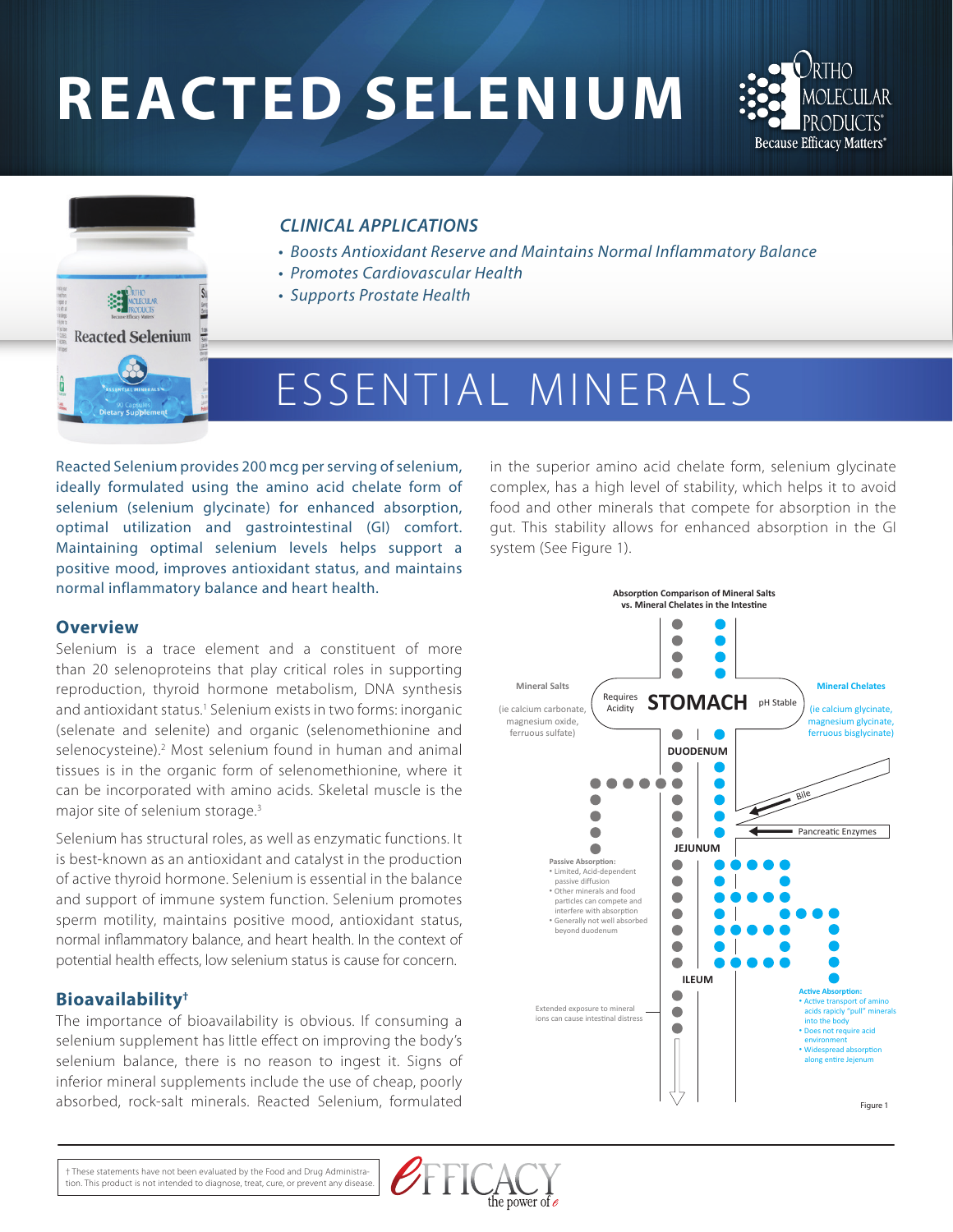# **REACTED SELENIUM**





# *CLINICAL APPLICATIONS*

- *Boosts Antioxidant Reserve and Maintains Normal Inflammatory Balance*
- *Promotes Cardiovascular Health*
- *Supports Prostate Health*

# ESSENTIAL MINERALS

Reacted Selenium provides 200 mcg per serving of selenium, ideally formulated using the amino acid chelate form of selenium (selenium glycinate) for enhanced absorption, optimal utilization and gastrointestinal (GI) comfort. Maintaining optimal selenium levels helps support a positive mood, improves antioxidant status, and maintains normal inflammatory balance and heart health.

#### **Overview**

Selenium is a trace element and a constituent of more than 20 selenoproteins that play critical roles in supporting reproduction, thyroid hormone metabolism, DNA synthesis and antioxidant status.<sup>1</sup> Selenium exists in two forms: inorganic (selenate and selenite) and organic (selenomethionine and selenocysteine).<sup>2</sup> Most selenium found in human and animal tissues is in the organic form of selenomethionine, where it can be incorporated with amino acids. Skeletal muscle is the major site of selenium storage.3

Selenium has structural roles, as well as enzymatic functions. It is best-known as an antioxidant and catalyst in the production of active thyroid hormone. Selenium is essential in the balance and support of immune system function. Selenium promotes sperm motility, maintains positive mood, antioxidant status, normal inflammatory balance, and heart health. In the context of potential health effects, low selenium status is cause for concern.

## **Bioavailability†**

The importance of bioavailability is obvious. If consuming a selenium supplement has little effect on improving the body's selenium balance, there is no reason to ingest it. Signs of inferior mineral supplements include the use of cheap, poorly absorbed, rock-salt minerals. Reacted Selenium, formulated

in the superior amino acid chelate form, selenium glycinate complex, has a high level of stability, which helps it to avoid food and other minerals that compete for absorption in the gut. This stability allows for enhanced absorption in the GI system (See Figure 1).